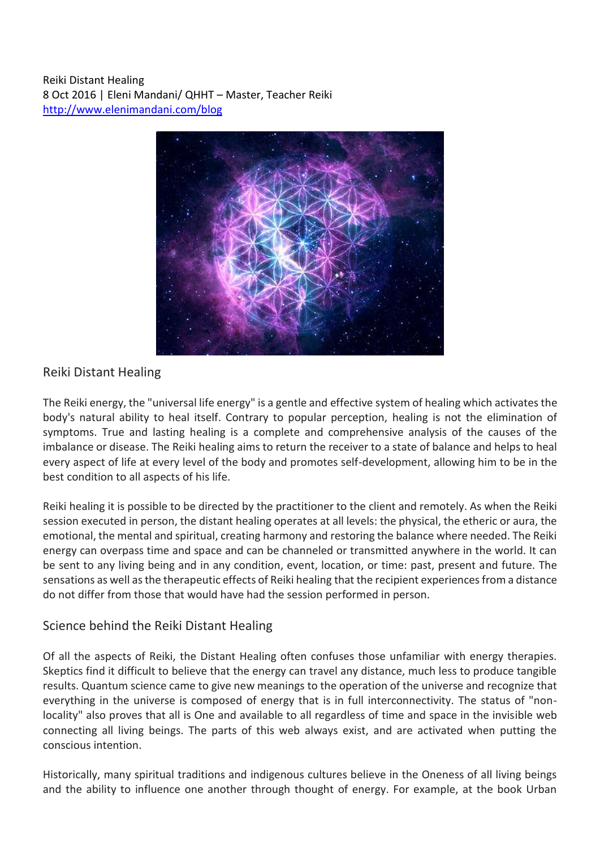Reiki Distant Healing 8 Oct 2016 | Eleni Mandani/ QHHT – Master, Teacher Reiki <http://www.elenimandani.com/blog>



## Reiki Distant Healing

The Reiki energy, the "universal life energy" is a gentle and effective system of healing which activates the body's natural ability to heal itself. Contrary to popular perception, healing is not the elimination of symptoms. True and lasting healing is a complete and comprehensive analysis of the causes of the imbalance or disease. The Reiki healing aims to return the receiver to a state of balance and helps to heal every aspect of life at every level of the body and promotes self-development, allowing him to be in the best condition to all aspects of his life.

Reiki healing it is possible to be directed by the practitioner to the client and remotely. As when the Reiki session executed in person, the distant healing operates at all levels: the physical, the etheric or aura, the emotional, the mental and spiritual, creating harmony and restoring the balance where needed. The Reiki energy can overpass time and space and can be channeled or transmitted anywhere in the world. It can be sent to any living being and in any condition, event, location, or time: past, present and future. The sensations as well as the therapeutic effects of Reiki healing that the recipient experiences from a distance do not differ from those that would have had the session performed in person.

## Science behind the Reiki Distant Healing

Of all the aspects of Reiki, the Distant Healing often confuses those unfamiliar with energy therapies. Skeptics find it difficult to believe that the energy can travel any distance, much less to produce tangible results. Quantum science came to give new meanings to the operation of the universe and recognize that everything in the universe is composed of energy that is in full interconnectivity. The status of "nonlocality" also proves that all is One and available to all regardless of time and space in the invisible web connecting all living beings. The parts of this web always exist, and are activated when putting the conscious intention.

Historically, many spiritual traditions and indigenous cultures believe in the Oneness of all living beings and the ability to influence one another through thought of energy. For example, at the book Urban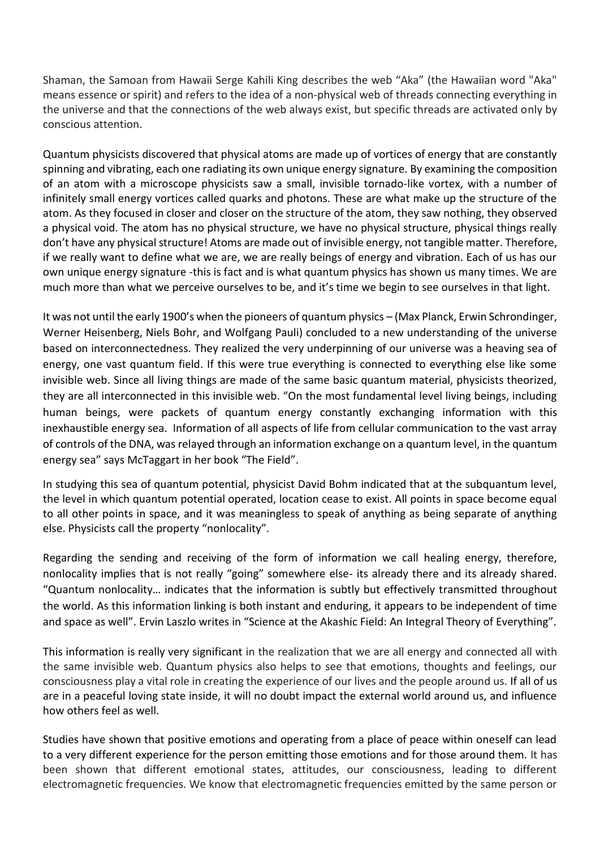Shaman, the Samoan from Hawaii Serge Kahili King describes the web "Aka" (the Hawaiian word "Aka" means essence or spirit) and refers to the idea of a non-physical web of threads connecting everything in the universe and that the connections of the web always exist, but specific threads are activated only by conscious attention.

Quantum physicists discovered that physical atoms are made up of vortices of energy that are constantly spinning and vibrating, each one radiating its own unique energy signature. By examining the composition of an atom with a microscope physicists saw a small, invisible tornado-like vortex, with a number of infinitely small energy vortices called quarks and photons. These are what make up the structure of the atom. As they focused in closer and closer on the structure of the atom, they saw nothing, they observed a physical void. The atom has no physical structure, we have no physical structure, physical things really don't have any physical structure! Atoms are made out of invisible energy, not tangible matter. Therefore, if we really want to define what we are, we are really beings of energy and vibration. Each of us has our own unique energy signature -this is fact and is what quantum physics has shown us many times. We are much more than what we perceive ourselves to be, and it's time we begin to see ourselves in that light.

It was not until the early 1900's when the pioneers of quantum physics – (Max Planck, Erwin Schrondinger, Werner Heisenberg, Niels Bohr, and Wolfgang Pauli) concluded to a new understanding of the universe based on interconnectedness. They realized the very underpinning of our universe was a heaving sea of energy, one vast quantum field. If this were true everything is connected to everything else like some invisible web. Since all living things are made of the same basic quantum material, physicists theorized, they are all interconnected in this invisible web. "On the most fundamental level living beings, including human beings, were packets of quantum energy constantly exchanging information with this inexhaustible energy sea. Information of all aspects of life from cellular communication to the vast array of controls of the DNA, was relayed through an information exchange on a quantum level, in the quantum energy sea" says McTaggart in her book "The Field".

In studying this sea of quantum potential, physicist David Bohm indicated that at the subquantum level, the level in which quantum potential operated, location cease to exist. All points in space become equal to all other points in space, and it was meaningless to speak of anything as being separate of anything else. Physicists call the property "nonlocality".

Regarding the sending and receiving of the form of information we call healing energy, therefore, nonlocality implies that is not really "going" somewhere else- its already there and its already shared. "Quantum nonlocality… indicates that the information is subtly but effectively transmitted throughout the world. As this information linking is both instant and enduring, it appears to be independent of time and space as well". Ervin Laszlo writes in "Science at the Akashic Field: An Integral Theory of Everything".

This information is really very significant in the realization that we are all energy and connected all with the same invisible web. Quantum physics also helps to see that emotions, thoughts and feelings, our consciousness play a vital role in creating the experience of our lives and the people around us. If all of us are in a peaceful loving state inside, it will no doubt impact the external world around us, and influence how others feel as well.

Studies have shown that positive emotions and operating from a place of peace within oneself can lead to a very different experience for the person emitting those emotions and for those around them. It has been shown that different emotional states, attitudes, our consciousness, leading to different electromagnetic frequencies. We know that electromagnetic frequencies emitted by the same person or